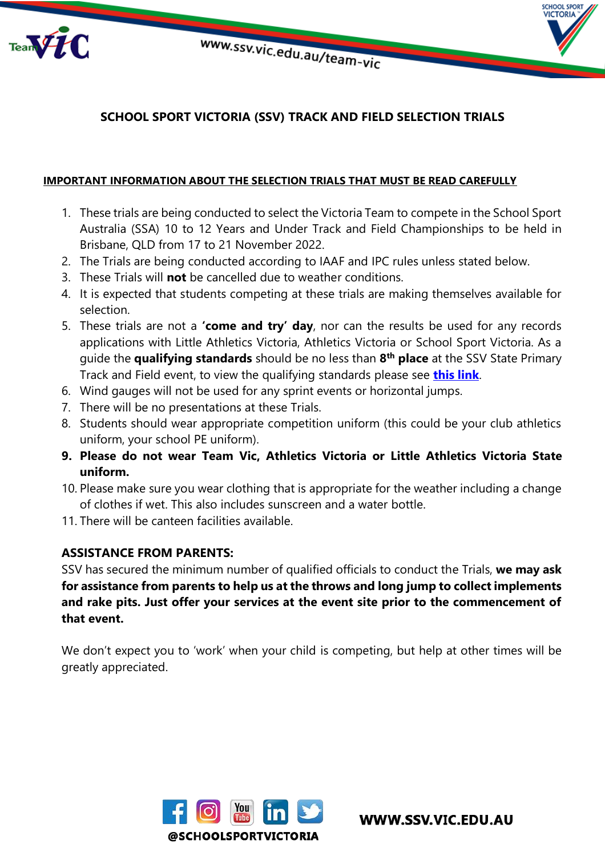

**HOOL SPORT ICTORIA** 



#### **IMPORTANT INFORMATION ABOUT THE SELECTION TRIALS THAT MUST BE READ CAREFULLY**

- 1. These trials are being conducted to select the Victoria Team to compete in the School Sport Australia (SSA) 10 to 12 Years and Under Track and Field Championships to be held in Brisbane, QLD from 17 to 21 November 2022.
- 2. The Trials are being conducted according to IAAF and IPC rules unless stated below.
- 3. These Trials will **not** be cancelled due to weather conditions.
- 4. It is expected that students competing at these trials are making themselves available for selection.
- 5. These trials are not a **'come and try' day**, nor can the results be used for any records applications with Little Athletics Victoria, Athletics Victoria or School Sport Victoria. As a guide the **qualifying standards** should be no less than **8 th place** at the SSV State Primary Track and Field event, to view the qualifying standards please see **[this link](https://www.ssv.vic.edu.au/state/Documents/state%20track%20and%20field%20primary%20results%202019.pdf)**.
- 6. Wind gauges will not be used for any sprint events or horizontal jumps.
- 7. There will be no presentations at these Trials.
- 8. Students should wear appropriate competition uniform (this could be your club athletics uniform, your school PE uniform).
- **9. Please do not wear Team Vic, Athletics Victoria or Little Athletics Victoria State uniform.**
- 10. Please make sure you wear clothing that is appropriate for the weather including a change of clothes if wet. This also includes sunscreen and a water bottle.
- 11. There will be canteen facilities available.

#### **ASSISTANCE FROM PARENTS:**

SSV has secured the minimum number of qualified officials to conduct the Trials, **we may ask for assistance from parents to help us at the throws and long jump to collect implements and rake pits. Just offer your services at the event site prior to the commencement of that event.** 

We don't expect you to 'work' when your child is competing, but help at other times will be greatly appreciated.

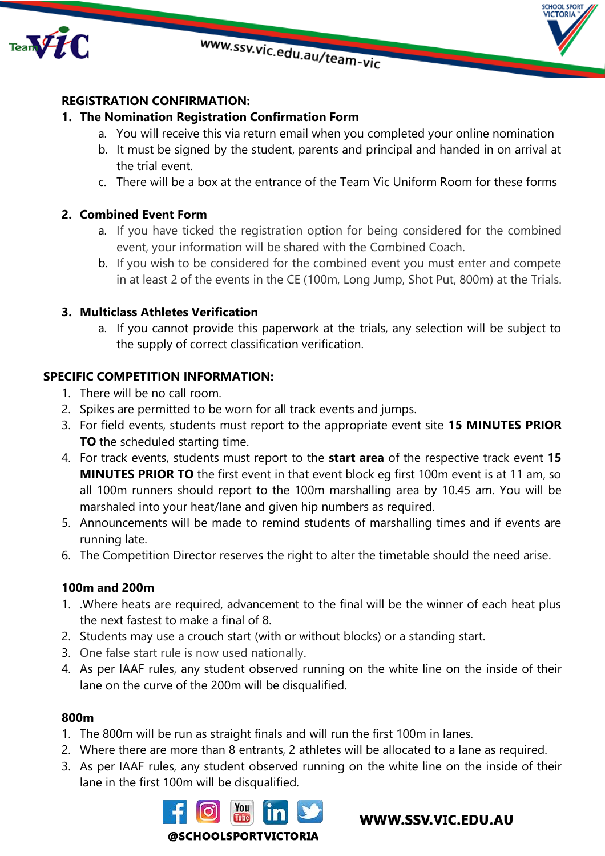



## **REGISTRATION CONFIRMATION:**

### **1. The Nomination Registration Confirmation Form**

- a. You will receive this via return email when you completed your online nomination
- b. It must be signed by the student, parents and principal and handed in on arrival at the trial event.
- c. There will be a box at the entrance of the Team Vic Uniform Room for these forms

### **2. Combined Event Form**

- a. If you have ticked the registration option for being considered for the combined event, your information will be shared with the Combined Coach.
- b. If you wish to be considered for the combined event you must enter and compete in at least 2 of the events in the CE (100m, Long Jump, Shot Put, 800m) at the Trials.

### **3. Multiclass Athletes Verification**

a. If you cannot provide this paperwork at the trials, any selection will be subject to the supply of correct classification verification.

## **SPECIFIC COMPETITION INFORMATION:**

- 1. There will be no call room.
- 2. Spikes are permitted to be worn for all track events and jumps.
- 3. For field events, students must report to the appropriate event site **15 MINUTES PRIOR TO** the scheduled starting time.
- 4. For track events, students must report to the **start area** of the respective track event **15 MINUTES PRIOR TO** the first event in that event block eg first 100m event is at 11 am, so all 100m runners should report to the 100m marshalling area by 10.45 am. You will be marshaled into your heat/lane and given hip numbers as required.
- 5. Announcements will be made to remind students of marshalling times and if events are running late.
- 6. The Competition Director reserves the right to alter the timetable should the need arise.

### **100m and 200m**

- 1. .Where heats are required, advancement to the final will be the winner of each heat plus the next fastest to make a final of 8.
- 2. Students may use a crouch start (with or without blocks) or a standing start.
- 3. One false start rule is now used nationally.
- 4. As per IAAF rules, any student observed running on the white line on the inside of their lane on the curve of the 200m will be disqualified.

### **800m**

- 1. The 800m will be run as straight finals and will run the first 100m in lanes.
- 2. Where there are more than 8 entrants, 2 athletes will be allocated to a lane as required.
- 3. As per IAAF rules, any student observed running on the white line on the inside of their lane in the first 100m will be disqualified.

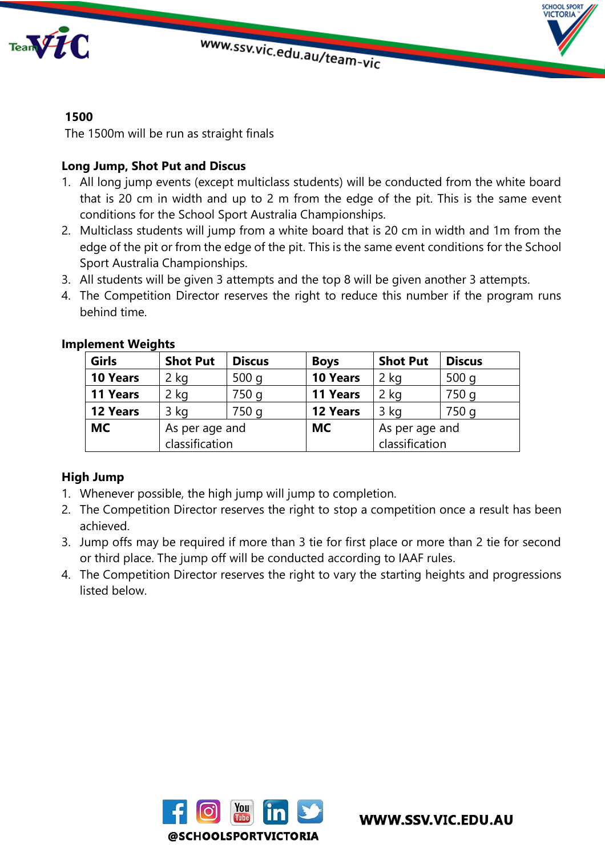

# **1500**

The 1500m will be run as straight finals

## **Long Jump, Shot Put and Discus**

- 1. All long jump events (except multiclass students) will be conducted from the white board that is 20 cm in width and up to 2 m from the edge of the pit. This is the same event conditions for the School Sport Australia Championships.
- 2. Multiclass students will jump from a white board that is 20 cm in width and 1m from the edge of the pit or from the edge of the pit. This is the same event conditions for the School Sport Australia Championships.
- 3. All students will be given 3 attempts and the top 8 will be given another 3 attempts.
- 4. The Competition Director reserves the right to reduce this number if the program runs behind time.

| Girls           | <b>Shot Put</b> | <b>Discus</b> | <b>Boys</b>     | <b>Shot Put</b> | <b>Discus</b> |
|-----------------|-----------------|---------------|-----------------|-----------------|---------------|
| <b>10 Years</b> | 2 kg            | 500q          | <b>10 Years</b> | 2 kg            | 500q          |
| <b>11 Years</b> | 2 kg            | 750 g         | 11 Years        | 2 kg            | 750 g         |
| <b>12 Years</b> | 3 kg            | 750 g         | 12 Years        | 3 ka            | 750 g         |
| <b>MC</b>       | As per age and  |               | <b>MC</b>       | As per age and  |               |
|                 | classification  |               |                 | classification  |               |

### **Implement Weights**

### **High Jump**

- 1. Whenever possible, the high jump will jump to completion.
- 2. The Competition Director reserves the right to stop a competition once a result has been achieved.
- 3. Jump offs may be required if more than 3 tie for first place or more than 2 tie for second or third place. The jump off will be conducted according to IAAF rules.
- 4. The Competition Director reserves the right to vary the starting heights and progressions listed below.

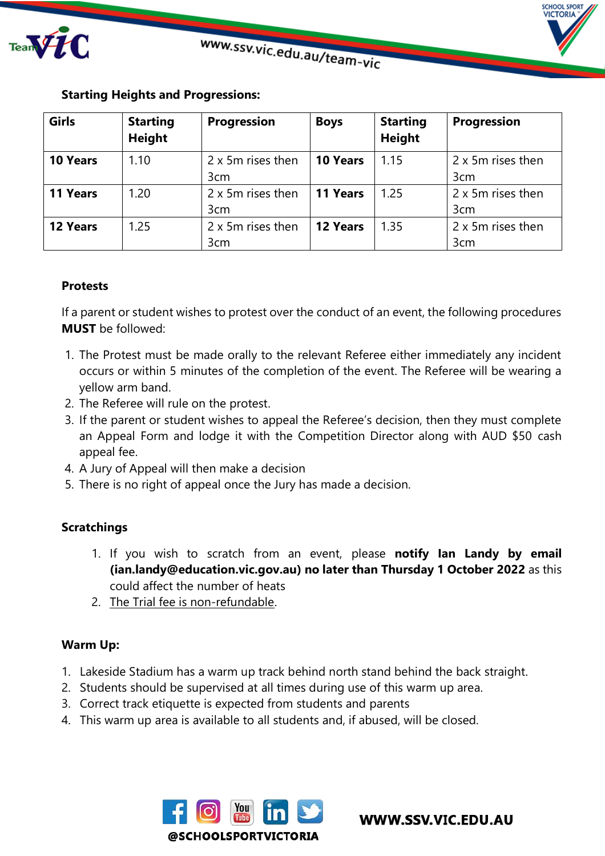

**HOOL SPORT ICTORIA** 

| <b>Girls</b>    | <b>Starting</b><br><b>Height</b> | <b>Progression</b> | <b>Boys</b>     | <b>Starting</b><br><b>Height</b> | <b>Progression</b> |
|-----------------|----------------------------------|--------------------|-----------------|----------------------------------|--------------------|
| <b>10 Years</b> | 1.10                             | 2 x 5m rises then  | <b>10 Years</b> | 1.15                             | 2 x 5m rises then  |
|                 |                                  | 3cm                |                 |                                  | 3cm                |
| 11 Years        | 1.20                             | 2 x 5m rises then  | 11 Years        | 1.25                             | 2 x 5m rises then  |
|                 |                                  | 3cm                |                 |                                  | 3 <sub>cm</sub>    |
| 12 Years        | 1.25                             | 2 x 5m rises then  | <b>12 Years</b> | 1.35                             | 2 x 5m rises then  |
|                 |                                  | 3 <sub>cm</sub>    |                 |                                  | 3 <sub>cm</sub>    |

## **Starting Heights and Progressions:**

## **Protests**

If a parent or student wishes to protest over the conduct of an event, the following procedures **MUST** be followed:

- 1. The Protest must be made orally to the relevant Referee either immediately any incident occurs or within 5 minutes of the completion of the event. The Referee will be wearing a yellow arm band.
- 2. The Referee will rule on the protest.
- 3. If the parent or student wishes to appeal the Referee's decision, then they must complete an Appeal Form and lodge it with the Competition Director along with AUD \$50 cash appeal fee.
- 4. A Jury of Appeal will then make a decision
- 5. There is no right of appeal once the Jury has made a decision.

## **Scratchings**

- 1. If you wish to scratch from an event, please **notify Ian Landy by email (ian.landy@education.vic.gov.au) no later than Thursday 1 October 2022** as this could affect the number of heats
- 2. The Trial fee is non-refundable.

## **Warm Up:**

- 1. Lakeside Stadium has a warm up track behind north stand behind the back straight.
- 2. Students should be supervised at all times during use of this warm up area.
- 3. Correct track etiquette is expected from students and parents
- 4. This warm up area is available to all students and, if abused, will be closed.